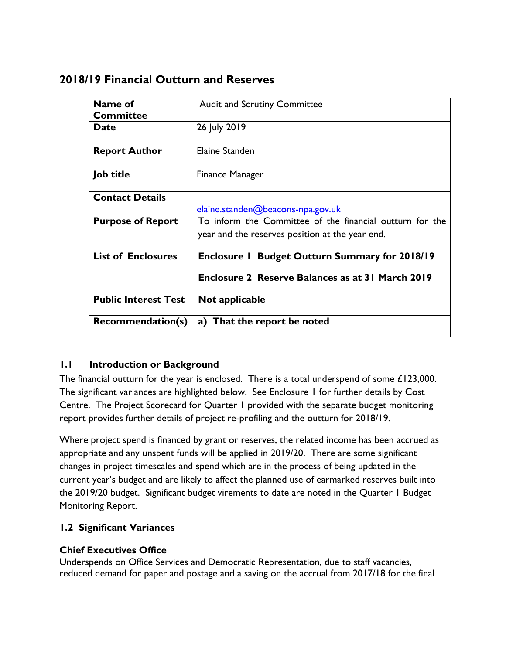| Name of                  | <b>Audit and Scrutiny Committee</b>                      |  |  |
|--------------------------|----------------------------------------------------------|--|--|
| <b>Committee</b>         |                                                          |  |  |
| <b>Date</b>              | 26 July 2019                                             |  |  |
| <b>Report Author</b>     | Elaine Standen                                           |  |  |
| Job title                | <b>Finance Manager</b>                                   |  |  |
| <b>Contact Details</b>   |                                                          |  |  |
|                          | elaine.standen@beacons-npa.gov.uk                        |  |  |
| <b>Purpose of Report</b> | To inform the Committee of the financial outturn for the |  |  |

# **2018/19 Financial Outturn and Reserves**

#### **1.1 Introduction or Background**

**Public Interest Test Not applicable**

**Recommendation(s) a)** That the report be noted

The financial outturn for the year is enclosed. There is a total underspend of some £123,000. The significant variances are highlighted below. See Enclosure 1 for further details by Cost Centre. The Project Scorecard for Quarter 1 provided with the separate budget monitoring report provides further details of project re-profiling and the outturn for 2018/19.

year and the reserves position at the year end.

**Enclosure 2 Reserve Balances as at 31 March 2019**

**List of Enclosures Enclosure 1 Budget Outturn Summary for 2018/19**

Where project spend is financed by grant or reserves, the related income has been accrued as appropriate and any unspent funds will be applied in 2019/20. There are some significant changes in project timescales and spend which are in the process of being updated in the current year's budget and are likely to affect the planned use of earmarked reserves built into the 2019/20 budget. Significant budget virements to date are noted in the Quarter 1 Budget Monitoring Report.

## **1.2 Significant Variances**

#### **Chief Executives Office**

Underspends on Office Services and Democratic Representation, due to staff vacancies, reduced demand for paper and postage and a saving on the accrual from 2017/18 for the final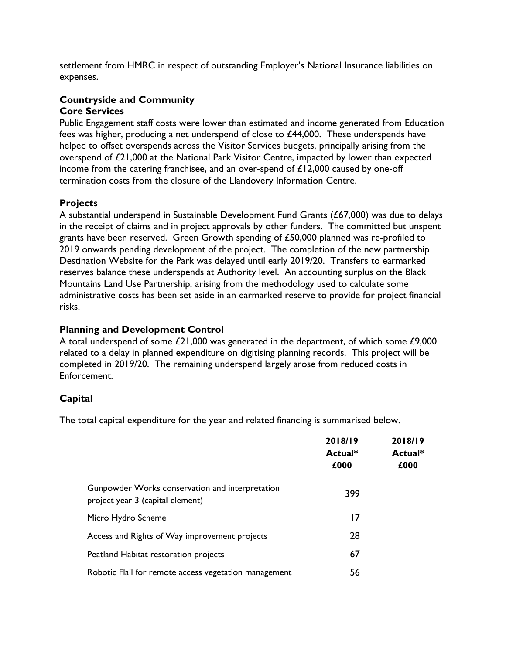settlement from HMRC in respect of outstanding Employer's National Insurance liabilities on expenses.

#### **Countryside and Community Core Services**

Public Engagement staff costs were lower than estimated and income generated from Education fees was higher, producing a net underspend of close to  $£44,000$ . These underspends have helped to offset overspends across the Visitor Services budgets, principally arising from the overspend of £21,000 at the National Park Visitor Centre, impacted by lower than expected income from the catering franchisee, and an over-spend of  $£12,000$  caused by one-off termination costs from the closure of the Llandovery Information Centre.

## **Projects**

A substantial underspend in Sustainable Development Fund Grants (£67,000) was due to delays in the receipt of claims and in project approvals by other funders. The committed but unspent grants have been reserved. Green Growth spending of £50,000 planned was re-profiled to 2019 onwards pending development of the project. The completion of the new partnership Destination Website for the Park was delayed until early 2019/20. Transfers to earmarked reserves balance these underspends at Authority level. An accounting surplus on the Black Mountains Land Use Partnership, arising from the methodology used to calculate some administrative costs has been set aside in an earmarked reserve to provide for project financial risks.

#### **Planning and Development Control**

A total underspend of some £21,000 was generated in the department, of which some £9,000 related to a delay in planned expenditure on digitising planning records. This project will be completed in 2019/20. The remaining underspend largely arose from reduced costs in Enforcement.

## **Capital**

The total capital expenditure for the year and related financing is summarised below.

|                                                                                     | 2018/19<br>Actual*<br>£000 | 2018/19<br>Actual*<br>£000 |
|-------------------------------------------------------------------------------------|----------------------------|----------------------------|
|                                                                                     |                            |                            |
|                                                                                     |                            |                            |
| Gunpowder Works conservation and interpretation<br>project year 3 (capital element) | 399                        |                            |
| Micro Hydro Scheme                                                                  | 17                         |                            |
| Access and Rights of Way improvement projects                                       | 28                         |                            |
| Peatland Habitat restoration projects                                               | 67                         |                            |
| Robotic Flail for remote access vegetation management                               | 56                         |                            |